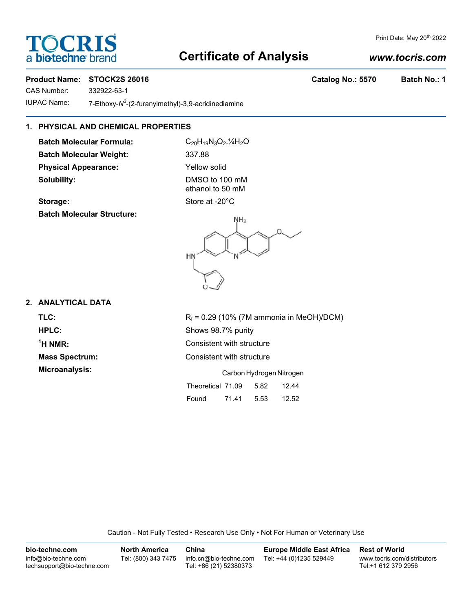# OCRIS a biotechne b

# **Certificate of Analysis**

## *www.tocris.com*

Print Date: May 20<sup>th</sup> 2022

### Product Name: STOCK2S 26016 **Catalog No.: 5570 Batch No.: 1**

CAS Number: 332922-63-1

IUPAC Name: 7-Ethoxy-N<sup>3</sup>-(2-furanylmethyl)-3,9-acridinediamine

## **1. PHYSICAL AND CHEMICAL PROPERTIES**

**Batch Molecular Formula:** C<sub>20</sub>H<sub>19</sub>N<sub>3</sub>O<sub>2</sub>.<sup>1</sup>/<sub>4</sub>H<sub>2</sub>O **Batch Molecular Weight:** 337.88 **Physical Appearance:** Yellow solid **Solubility:** DMSO to 100 mM

ethanol to 50 mM Storage: Storage: Store at -20<sup>°</sup>C

**Batch Molecular Structure:**



#### **2. ANALYTICAL DATA**

**TLC:** R<sub>f</sub> = 0.29 (10% (7M ammonia in MeOH)/DCM)  $<sup>1</sup>H NMR$ :</sup>

**HPLC:** Shows 98.7% purity **Consistent with structure Mass Spectrum:** Consistent with structure **Microanalysis:** Carbon Hydrogen Nitrogen

|                   |       | <u>oarbon i iyarogon i via ogon</u> |       |
|-------------------|-------|-------------------------------------|-------|
| Theoretical 71.09 |       | 5.82                                | 12.44 |
| Found             | 71.41 | 5.53                                | 12.52 |

Caution - Not Fully Tested • Research Use Only • Not For Human or Veterinary Use

| bio-techne.com                                    | <b>North America</b> | China                                            | <b>Europe Middle East Africa</b> | <b>Rest of World</b>                               |
|---------------------------------------------------|----------------------|--------------------------------------------------|----------------------------------|----------------------------------------------------|
| info@bio-techne.com<br>techsupport@bio-techne.com | Tel: (800) 343 7475  | info.cn@bio-techne.com<br>Tel: +86 (21) 52380373 | Tel: +44 (0)1235 529449          | www.tocris.com/distributors<br>Tel:+1 612 379 2956 |